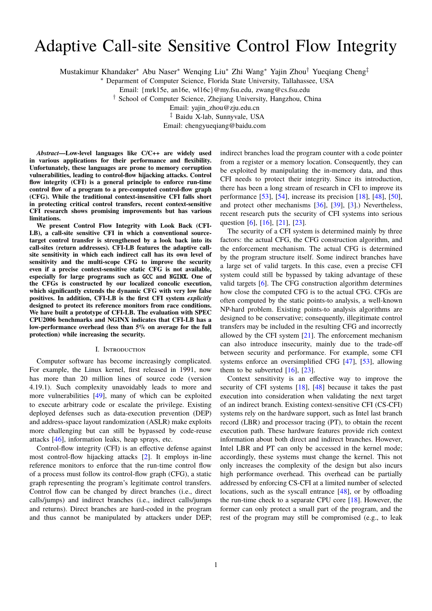# Adaptive Call-site Sensitive Control Flow Integrity

Mustakimur Khandaker<sup>∗</sup> Abu Naser<sup>∗</sup> Wenqing Liu<sup>∗</sup> Zhi Wang<sup>∗</sup> Yajin Zhou† Yueqiang Cheng‡

<sup>∗</sup> Deparment of Computer Science, Florida State University, Tallahassee, USA

Email: {mrk15e, an16e, wl16c}@my.fsu.edu, zwang@cs.fsu.edu

† School of Computer Science, Zhejiang University, Hangzhou, China

Email: yajin\_zhou@zju.edu.cn

‡ Baidu X-lab, Sunnyvale, USA

Email: chengyueqiang@baidu.com

*Abstract***—Low-level languages like C/C++ are widely used in various applications for their performance and flexibility. Unfortunately, these languages are prone to memory corruption vulnerabilities, leading to control-flow hijacking attacks. Control flow integrity (CFI) is a general principle to enforce run-time control flow of a program to a pre-computed control-flow graph (CFG). While the traditional context-insensitive CFI falls short in protecting critical control transfers, recent context-sensitive CFI research shows promising improvements but has various limitations.**

**We present Control Flow Integrity with Look Back (CFI-LB), a call-site sensitive CFI in which a conventional sourcetarget control transfer is strengthened by a look back into its call-sites (return addresses). CFI-LB features the adaptive callsite sensitivity in which each indirect call has its own level of sensitivity and the multi-scope CFG to improve the security even if a precise context-sensitive static CFG is not available, especially for large programs such as** GCC **and** NGINX**. One of the CFGs is constructed by our localized concolic execution, which significantly extends the dynamic CFG with very low false positives. In addition, CFI-LB is the first CFI system** *explicitly* **designed to protect its reference monitors from race conditions. We have built a prototype of CFI-LB. The evaluation with SPEC CPU2006 benchmarks and NGINX indicates that CFI-LB has a low-performance overhead (less than 5% on average for the full protection) while increasing the security.**

#### I. Introduction

Computer software has become increasingly complicated. For example, the Linux kernel, first released in 1991, now has more than 20 million lines of source code (version 4.19.1). Such complexity unavoidably leads to more and more vulnerabilities [\[49\]](#page-15-0), many of which can be exploited to execute arbitrary code or escalate the privilege. Existing deployed defenses such as data-execution prevention (DEP) and address-space layout randomization (ASLR) make exploits more challenging but can still be bypassed by code-reuse attacks [\[46\]](#page-15-1), information leaks, heap sprays, etc.

Control-flow integrity (CFI) is an effective defense against most control-flow hijacking attacks [\[2\]](#page-14-0). It employs in-line reference monitors to enforce that the run-time control flow of a process must follow its control-flow graph (CFG), a static graph representing the program's legitimate control transfers. Control flow can be changed by direct branches (i.e., direct calls/jumps) and indirect branches (i.e., indirect calls/jumps and returns). Direct branches are hard-coded in the program and thus cannot be manipulated by attackers under DEP;

indirect branches load the program counter with a code pointer from a register or a memory location. Consequently, they can be exploited by manipulating the in-memory data, and thus CFI needs to protect their integrity. Since its introduction, there has been a long stream of research in CFI to improve its performance [\[53\]](#page-15-2), [\[54\]](#page-15-3), increase its precision [\[18\]](#page-14-1), [\[48\]](#page-15-4), [\[50\]](#page-15-5), and protect other mechanisms [\[36\]](#page-15-6), [\[39\]](#page-15-7), [\[3\]](#page-14-2).) Nevertheless, recent research puts the security of CFI systems into serious question [\[6\]](#page-14-3), [\[16\]](#page-14-4), [\[21\]](#page-14-5), [\[23\]](#page-15-8).

The security of a CFI system is determined mainly by three factors: the actual CFG, the CFG construction algorithm, and the enforcement mechanism. The actual CFG is determined by the program structure itself. Some indirect branches have a large set of valid targets. In this case, even a precise CFI system could still be bypassed by taking advantage of these valid targets [\[6\]](#page-14-3). The CFG construction algorithm determines how close the computed CFG is to the actual CFG. CFGs are often computed by the static points-to analysis, a well-known NP-hard problem. Existing points-to analysis algorithms are designed to be conservative; consequently, illegitimate control transfers may be included in the resulting CFG and incorrectly allowed by the CFI system  $[21]$ . The enforcement mechanism can also introduce insecurity, mainly due to the trade-off between security and performance. For example, some CFI systems enforce an oversimplified CFG [\[47\]](#page-15-9), [\[53\]](#page-15-2), allowing them to be subverted  $[16]$ ,  $[23]$ .

Context sensitivity is an effective way to improve the security of CFI systems [\[18\]](#page-14-1), [\[48\]](#page-15-4) because it takes the past execution into consideration when validating the next target of an indirect branch. Existing context-sensitive CFI (CS-CFI) systems rely on the hardware support, such as Intel last branch record (LBR) and processor tracing (PT), to obtain the recent execution path. These hardware features provide rich context information about both direct and indirect branches. However, Intel LBR and PT can only be accessed in the kernel mode; accordingly, these systems must change the kernel. This not only increases the complexity of the design but also incurs high performance overhead. This overhead can be partially addressed by enforcing CS-CFI at a limited number of selected locations, such as the syscall entrance [\[48\]](#page-15-4), or by offloading the run-time check to a separate CPU core  $[18]$ . However, the former can only protect a small part of the program, and the rest of the program may still be compromised (e.g., to leak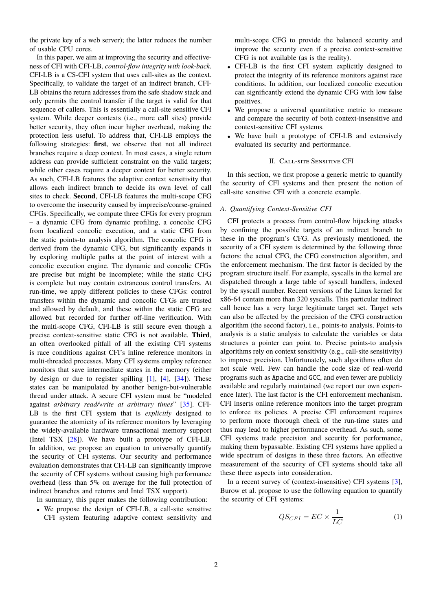the private key of a web server); the latter reduces the number of usable CPU cores.

In this paper, we aim at improving the security and effectiveness of CFI with CFI-LB, *control-flow integrity with look-back*. CFI-LB is a CS-CFI system that uses call-sites as the context. Specifically, to validate the target of an indirect branch, CFI-LB obtains the return addresses from the safe shadow stack and only permits the control transfer if the target is valid for that sequence of callers. This is essentially a call-site sensitive CFI system. While deeper contexts (i.e., more call sites) provide better security, they often incur higher overhead, making the protection less useful. To address that, CFI-LB employs the following strategies: **first**, we observe that not all indirect branches require a deep context. In most cases, a single return address can provide sufficient constraint on the valid targets; while other cases require a deeper context for better security. As such, CFI-LB features the adaptive context sensitivity that allows each indirect branch to decide its own level of call sites to check. **Second**, CFI-LB features the multi-scope CFG to overcome the insecurity caused by imprecise/coarse-grained CFGs. Specifically, we compute three CFGs for every program – a dynamic CFG from dynamic profiling, a concolic CFG from localized concolic execution, and a static CFG from the static points-to analysis algorithm. The concolic CFG is derived from the dynamic CFG, but significantly expands it by exploring multiple paths at the point of interest with a concolic execution engine. The dynamic and concolic CFGs are precise but might be incomplete; while the static CFG is complete but may contain extraneous control transfers. At run-time, we apply different policies to these CFGs: control transfers within the dynamic and concolic CFGs are trusted and allowed by default, and these within the static CFG are allowed but recorded for further off-line verification. With the multi-scope CFG, CFI-LB is still secure even though a precise context-sensitive static CFG is not available. **Third**, an often overlooked pitfall of all the existing CFI systems is race conditions against CFI's inline reference monitors in multi-threaded processes. Many CFI systems employ reference monitors that save intermediate states in the memory (either by design or due to register spilling [\[1\]](#page-14-6), [\[4\]](#page-14-7), [\[34\]](#page-15-10)). These states can be manipulated by another benign-but-vulnerable thread under attack. A secure CFI system must be "modeled against *arbitrary read/write at arbitrary times*" [\[35\]](#page-15-11). CFI-LB is the first CFI system that is *explicitly* designed to guarantee the atomicity of its reference monitors by leveraging the widely-available hardware transactional memory support (Intel TSX [\[28\]](#page-15-12)). We have built a prototype of CFI-LB. In addition, we propose an equation to universally quantify the security of CFI systems. Our security and performance evaluation demonstrates that CFI-LB can significantly improve the security of CFI systems without causing high performance overhead (less than 5% on average for the full protection of indirect branches and returns and Intel TSX support).

In summary, this paper makes the following contribution:

• We propose the design of CFI-LB, a call-site sensitive CFI system featuring adaptive context sensitivity and multi-scope CFG to provide the balanced security and improve the security even if a precise context-sensitive CFG is not available (as is the reality).

- CFI-LB is the first CFI system explicitly designed to protect the integrity of its reference monitors against race conditions. In addition, our localized concolic execution can significantly extend the dynamic CFG with low false positives.
- We propose a universal quantitative metric to measure and compare the security of both context-insensitive and context-sensitive CFI systems.
- We have built a prototype of CFI-LB and extensively evaluated its security and performance.

# II. Call-site Sensitive CFI

<span id="page-1-1"></span>In this section, we first propose a generic metric to quantify the security of CFI systems and then present the notion of call-site sensitive CFI with a concrete example.

#### *A. Quantifying Context-Sensitive CFI*

CFI protects a process from control-flow hijacking attacks by confining the possible targets of an indirect branch to these in the program's CFG. As previously mentioned, the security of a CFI system is determined by the following three factors: the actual CFG, the CFG construction algorithm, and the enforcement mechanism. The first factor is decided by the program structure itself. For example, syscalls in the kernel are dispatched through a large table of syscall handlers, indexed by the syscall number. Recent versions of the Linux kernel for x86-64 contain more than 320 syscalls. This particular indirect call hence has a very large legitimate target set. Target sets can also be affected by the precision of the CFG construction algorithm (the second factor), i.e., points-to analysis. Points-to analysis is a static analysis to calculate the variables or data structures a pointer can point to. Precise points-to analysis algorithms rely on context sensitivity (e.g., call-site sensitivity) to improve precision. Unfortunately, such algorithms often do not scale well. Few can handle the code size of real-world programs such as Apache and GCC, and even fewer are publicly available and regularly maintained (we report our own experience later). The last factor is the CFI enforcement mechanism. CFI inserts online reference monitors into the target program to enforce its policies. A precise CFI enforcement requires to perform more thorough check of the run-time states and thus may lead to higher performance overhead. As such, some CFI systems trade precision and security for performance, making them bypassable. Existing CFI systems have applied a wide spectrum of designs in these three factors. An effective measurement of the security of CFI systems should take all these three aspects into consideration.

In a recent survey of (context-insensitive) CFI systems [\[3\]](#page-14-2), Burow et al. propose to use the following equation to quantify the security of CFI systems:

<span id="page-1-0"></span>
$$
QS_{CFI} = EC \times \frac{1}{LC}
$$
 (1)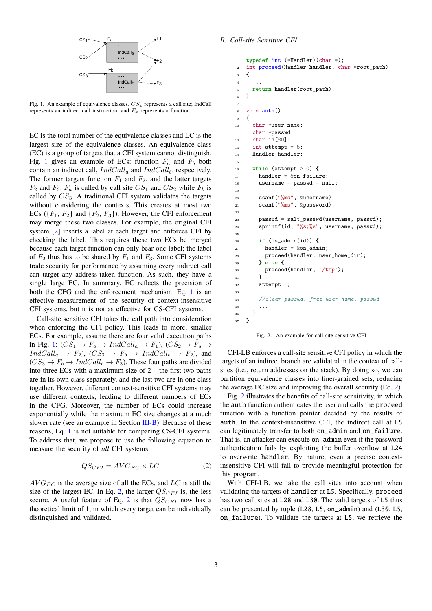

<span id="page-2-0"></span>Fig. 1. An example of equivalence classes.  $CS_x$  represents a call site; IndCall represents an indirect call instruction; and  $F_x$  represents a function.

EC is the total number of the equivalence classes and LC is the largest size of the equivalence classes. An equivalence class (EC) is a group of targets that a CFI system cannot distinguish. Fig. [1](#page-2-0) gives an example of ECs: function  $F_a$  and  $F_b$  both contain an indirect call,  $IndCall_a$  and  $IndCall_b$ , respectively. The former targets function  $F_1$  and  $F_2$ , and the latter targets  $F_2$  and  $F_3$ .  $F_a$  is called by call site  $CS_1$  and  $CS_2$  while  $F_b$  is called by  $CS_3$ . A traditional CFI system validates the targets without considering the contexts. This creates at most two ECs ( $\{F_1, F_2\}$  and  $\{F_2, F_3\}$ ). However, the CFI enforcement may merge these two classes. For example, the original CFI system [\[2\]](#page-14-0) inserts a label at each target and enforces CFI by checking the label. This requires these two ECs be merged because each target function can only bear one label; the label of  $F_2$  thus has to be shared by  $F_1$  and  $F_3$ . Some CFI systems trade security for performance by assuming every indirect call can target any address-taken function. As such, they have a single large EC. In summary, EC reflects the precision of both the CFG and the enforcement mechanism. Eq. [1](#page-1-0) is an effective measurement of the security of context-insensitive CFI systems, but it is not as effective for CS-CFI systems.

Call-site sensitive CFI takes the call path into consideration when enforcing the CFI policy. This leads to more, smaller ECs. For example, assume there are four valid execution paths in Fig. [1:](#page-2-0)  $(CS_1 \rightarrow F_a \rightarrow IndCall_a \rightarrow F_1)$ ,  $(CS_2 \rightarrow F_a \rightarrow$  $IndCall_a \rightarrow F_2$ ,  $(CS_3 \rightarrow F_b \rightarrow IndCall_b \rightarrow F_2)$ , and  $(CS_3 \rightarrow F_b \rightarrow IndCall_b \rightarrow F_3)$ . These four paths are divided into three ECs with a maximum size of  $2$  – the first two paths are in its own class separately, and the last two are in one class together. However, different context-sensitive CFI systems may use different contexts, leading to different numbers of ECs in the CFG. Moreover, the number of ECs could increase exponentially while the maximum EC size changes at a much slower rate (see an example in Section [III-B\)](#page-4-0). Because of these reasons, Eq. [1](#page-1-0) is not suitable for comparing CS-CFI systems. To address that, we propose to use the following equation to measure the security of *all* CFI systems:

<span id="page-2-1"></span>
$$
QS_{CFI} = AVG_{EC} \times LC
$$
 (2)

 $AVG_{EC}$  is the average size of all the ECs, and  $LC$  is still the size of the largest EC. In Eq. [2,](#page-2-1) the larger  $QS_{CFI}$  is, the less secure. A useful feature of Eq. [2](#page-2-1) is that  $QS_{CFI}$  now has a theoretical limit of 1, in which every target can be individually distinguished and validated.

# *B. Call-site Sensitive CFI*

```
1 typedef int (*Handler)(char *);
2 int proceed(Handler handler, char *root_path)
3 {
4 . . . . .
5 return handler(root_path);
6 }
7
\frac{1}{8} void \frac{1}{2}9 {
10 char *user_name;
11 char *passwd;
12 char id[80];
13 int attempt = 5;
14 Handler handler;
15
16 while (attempt > 0) {
17 handler = \&on_failure;
18 username = passwd = null;19
20 scanf("%ms", &username);
21 scanf("%ms", &password);
22
23 passwd = salt_passwd(username, passwd);
24 sprintf(id, "%s;%s", username, passwd);
25
_{26} if (is admin(id)) {
27 handler = \&on_admin;
28 proceed(handler, user_home_dir);
29 } else {
30 proceed(handler, "/tmp");
31 }
32 attempt--;
33
34 //clear passwd, free user_name, passwd
35 ...
36 }
37 }
```
<span id="page-2-2"></span>Fig. 2. An example for call-site sensitive CFI

CFI-LB enforces a call-site sensitive CFI policy in which the targets of an indirect branch are validated in the context of callsites (i.e., return addresses on the stack). By doing so, we can partition equivalence classes into finer-grained sets, reducing the average EC size and improving the overall security (Eq. [2\)](#page-2-1).

Fig. [2](#page-2-2) illustrates the benefits of call-site sensitivity, in which the auth function authenticates the user and calls the proceed function with a function pointer decided by the results of auth. In the context-insensitive CFI, the indirect call at L5 can legitimately transfer to both on\_admin and on\_failure. That is, an attacker can execute on\_admin even if the password authentication fails by exploiting the buffer overflow at L24 to overwrite handler. By nature, even a precise contextinsensitive CFI will fail to provide meaningful protection for this program.

With CFI-LB, we take the call sites into account when validating the targets of handler at L5. Specifically, proceed has two call sites at L28 and L30. The valid targets of L5 thus can be presented by tuple (L28, L5, on\_admin) and (L30, L5, on\_failure). To validate the targets at L5, we retrieve the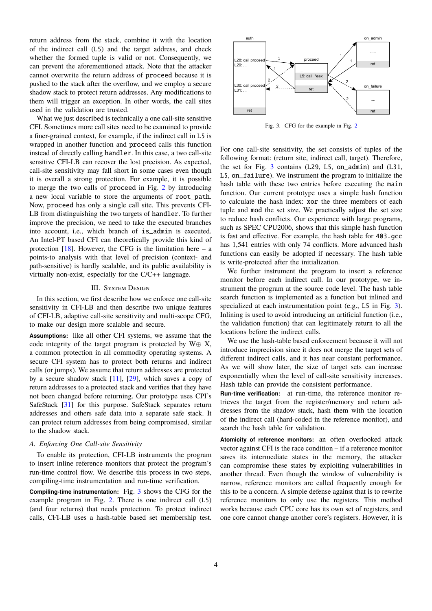return address from the stack, combine it with the location of the indirect call (L5) and the target address, and check whether the formed tuple is valid or not. Consequently, we can prevent the aforementioned attack. Note that the attacker cannot overwrite the return address of proceed because it is pushed to the stack after the overflow, and we employ a secure shadow stack to protect return addresses. Any modifications to them will trigger an exception. In other words, the call sites used in the validation are trusted.

What we just described is technically a one call-site sensitive CFI. Sometimes more call sites need to be examined to provide a finer-grained context, for example, if the indirect call in L5 is wrapped in another function and proceed calls this function instead of directly calling handler. In this case, a two call-site sensitive CFI-LB can recover the lost precision. As expected, call-site sensitivity may fall short in some cases even though it is overall a strong protection. For example, it is possible to merge the two calls of proceed in Fig. [2](#page-2-2) by introducing a new local variable to store the arguments of root\_path. Now, proceed has only a single call site. This prevents CFI-LB from distinguishing the two targets of handler. To further improve the precision, we need to take the executed branches into account, i.e., which branch of is\_admin is executed. An Intel-PT based CFI can theoretically provide this kind of protection  $[18]$ . However, the CFG is the limitation here – a points-to analysis with that level of precision (context- and path-sensitive) is hardly scalable, and its public availability is virtually non-exist, especially for the C/C++ language.

# **III.** SYSTEM DESIGN

In this section, we first describe how we enforce one call-site sensitivity in CFI-LB and then describe two unique features of CFI-LB, adaptive call-site sensitivity and multi-scope CFG, to make our design more scalable and secure.

**Assumptions:** like all other CFI systems, we assume that the code integrity of the target program is protected by  $W \oplus X$ , a common protection in all commodity operating systems. A secure CFI system has to protect both returns and indirect calls (or jumps). We assume that return addresses are protected by a secure shadow stack [\[11\]](#page-14-8), [\[29\]](#page-15-13), which saves a copy of return addresses to a protected stack and verifies that they have not been changed before returning. Our prototype uses CPI's SafeStack [\[31\]](#page-15-14) for this purpose. SafeStack separates return addresses and others safe data into a separate safe stack. It can protect return addresses from being compromised, similar to the shadow stack.

# *A. Enforcing One Call-site Sensitivity*

To enable its protection, CFI-LB instruments the program to insert inline reference monitors that protect the program's run-time control flow. We describe this process in two steps, compiling-time instrumentation and run-time verification.

**Compiling-time instrumentation:** Fig. [3](#page-3-0) shows the CFG for the example program in Fig. [2.](#page-2-2) There is one indirect call (L5) (and four returns) that needs protection. To protect indirect calls, CFI-LB uses a hash-table based set membership test.



<span id="page-3-0"></span>Fig. 3. CFG for the example in Fig. [2](#page-2-2)

For one call-site sensitivity, the set consists of tuples of the following format: (return site, indirect call, target). Therefore, the set for Fig. [3](#page-3-0) contains (L29, L5, on\_admin) and (L31, L5, on\_failure). We instrument the program to initialize the hash table with these two entries before executing the main function. Our current prototype uses a simple hash function to calculate the hash index: xor the three members of each tuple and mod the set size. We practically adjust the set size to reduce hash conflicts. Our experience with large programs, such as SPEC CPU2006, shows that this simple hash function is fast and effective. For example, the hash table for 403.gcc has 1,541 entries with only 74 conflicts. More advanced hash functions can easily be adopted if necessary. The hash table is write-protected after the initialization.

We further instrument the program to insert a reference monitor before each indirect call. In our prototype, we instrument the program at the source code level. The hash table search function is implemented as a function but inlined and specialized at each instrumentation point (e.g., L5 in Fig. [3\)](#page-3-0). Inlining is used to avoid introducing an artificial function (i.e., the validation function) that can legitimately return to all the locations before the indirect calls.

We use the hash-table based enforcement because it will not introduce imprecision since it does not merge the target sets of different indirect calls, and it has near constant performance. As we will show later, the size of target sets can increase exponentially when the level of call-site sensitivity increases. Hash table can provide the consistent performance.

**Run-time verification:** at run-time, the reference monitor retrieves the target from the register/memory and return addresses from the shadow stack, hash them with the location of the indirect call (hard-coded in the reference monitor), and search the hash table for validation.

**Atomicity of reference monitors:** an often overlooked attack vector against CFI is the race condition – if a reference monitor saves its intermediate states in the memory, the attacker can compromise these states by exploiting vulnerabilities in another thread. Even though the window of vulnerability is narrow, reference monitors are called frequently enough for this to be a concern. A simple defense against that is to rewrite reference monitors to only use the registers. This method works because each CPU core has its own set of registers, and one core cannot change another core's registers. However, it is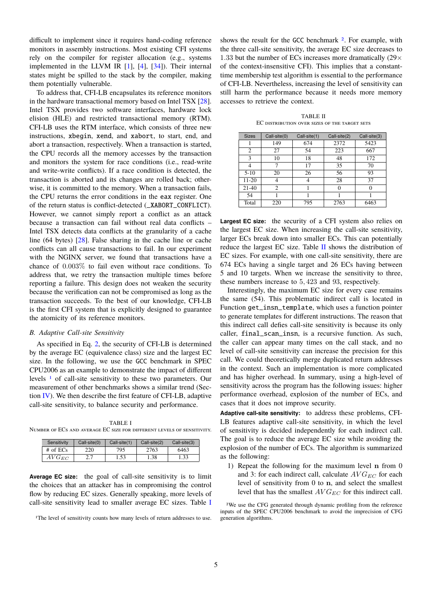difficult to implement since it requires hand-coding reference monitors in assembly instructions. Most existing CFI systems rely on the compiler for register allocation (e.g., systems implemented in the LLVM IR [\[1\]](#page-14-6), [\[4\]](#page-14-7), [\[34\]](#page-15-10)). Their internal states might be spilled to the stack by the compiler, making them potentially vulnerable.

To address that, CFI-LB encapsulates its reference monitors in the hardware transactional memory based on Intel TSX [\[28\]](#page-15-12). Intel TSX provides two software interfaces, hardware lock elision (HLE) and restricted transactional memory (RTM). CFI-LB uses the RTM interface, which consists of three new instructions, xbegin, xend, and xabort, to start, end, and abort a transaction, respectively. When a transaction is started, the CPU records all the memory accesses by the transaction and monitors the system for race conditions (i.e., read-write and write-write conflicts). If a race condition is detected, the transaction is aborted and its changes are rolled back; otherwise, it is committed to the memory. When a transaction fails, the CPU returns the error conditions in the eax register. One of the return status is conflict-detected (\_XABORT\_CONFLICT). However, we cannot simply report a conflict as an attack because a transaction can fail without real data conflicts – Intel TSX detects data conflicts at the granularity of a cache line (64 bytes) [\[28\]](#page-15-12). False sharing in the cache line or cache conflicts can all cause transactions to fail. In our experiment with the NGINX server, we found that transactions have a chance of 0.003% to fail even without race conditions. To address that, we retry the transaction multiple times before reporting a failure. This design does not weaken the security because the verification can not be compromised as long as the transaction succeeds. To the best of our knowledge, CFI-LB is the first CFI system that is explicitly designed to guarantee the atomicity of its reference monitors.

#### <span id="page-4-0"></span>*B. Adaptive Call-site Sensitivity*

As specified in Eq. [2,](#page-2-1) the security of CFI-LB is determined by the average EC (equivalence class) size and the largest EC size. In the following, we use the GCC benchmark in SPEC CPU2006 as an example to demonstrate the impact of different levels [1](#page-4-1) of call-site sensitivity to these two parameters. Our measurement of other benchmarks shows a similar trend (Section [IV\)](#page-7-0). We then describe the first feature of CFI-LB, adaptive call-site sensitivity, to balance security and performance.

<span id="page-4-2"></span>TABLE I Number of ECs and average EC size for different levels of sensitivity.

| Sensitivity | $Call-site(0)$ | Call-site(1) | $Call-site(2)$ | Call-site(3) |
|-------------|----------------|--------------|----------------|--------------|
| $#$ of ECs  | 220            | 795          | 2763           | 6463         |
| $AVG_{EC}$  | 2.7            | 1.53         | 1.38           | 1.33         |

**Average EC size:** the goal of call-site sensitivity is to limit the choices that an attacker has in compromising the control flow by reducing EC sizes. Generally speaking, more levels of call-site sensitivity lead to smaller average EC sizes. Table [I](#page-4-2)

<span id="page-4-1"></span>1The level of sensitivity counts how many levels of return addresses to use.

shows the result for the GCC benchmark  $2$ . For example, with the three call-site sensitivity, the average EC size decreases to 1.33 but the number of ECs increases more dramatically  $(29 \times$ of the context-insensitive CFI). This implies that a constanttime membership test algorithm is essential to the performance of CFI-LB. Nevertheless, increasing the level of sensitivity can still harm the performance because it needs more memory accesses to retrieve the context.

TABLE II EC distribution over sizes of the target sets

<span id="page-4-4"></span>

| <b>Sizes</b>   | Call-site(0) | Call-site(1) | Call-site(2) | Call-site(3) |
|----------------|--------------|--------------|--------------|--------------|
|                | 149          | 674          | 2372         | 5423         |
| $\overline{2}$ | 27           | 54           | 223          | 667          |
| 3              | 10           | 18           | 48           | 172          |
| 4              | 7            | 17           | 35           | 70           |
| $5-10$         | 20           | 26           | 56           | 93           |
| 11-20          | 4            |              | 28           | 37           |
| $21-40$        | 2            |              |              |              |
| 54             |              |              |              |              |
| Total          | 220          | 795          | 2763         | 6463         |

**Largest EC size:** the security of a CFI system also relies on the largest EC size. When increasing the call-site sensitivity, larger ECs break down into smaller ECs. This can potentially reduce the largest EC size. Table  $II$  shows the distribution of EC sizes. For example, with one call-site sensitivity, there are 674 ECs having a single target and 26 ECs having between 5 and 10 targets. When we increase the sensitivity to three, these numbers increase to 5, 423 and 93, respectively.

Interestingly, the maximum EC size for every case remains the same (54). This problematic indirect call is located in Function get\_insn\_template, which uses a function pointer to generate templates for different instructions. The reason that this indirect call defies call-site sensitivity is because its only caller, final\_scan\_insn, is a recursive function. As such, the caller can appear many times on the call stack, and no level of call-site sensitivity can increase the precision for this call. We could theoretically merge duplicated return addresses in the context. Such an implementation is more complicated and has higher overhead. In summary, using a high-level of sensitivity across the program has the following issues: higher performance overhead, explosion of the number of ECs, and cases that it does not improve security.

**Adaptive call-site sensitivity:** to address these problems, CFI-LB features adaptive call-site sensitivity, in which the level of sensitivity is decided independently for each indirect call. The goal is to reduce the average EC size while avoiding the explosion of the number of ECs. The algorithm is summarized as the following:

1) Repeat the following for the maximum level n from 0 and 3: for each indirect call, calculate  $AVG_{EC}$  for each level of sensitivity from 0 to n, and select the smallest level that has the smallest  $AVG_{EC}$  for this indirect call.

<span id="page-4-3"></span>2We use the CFG generated through dynamic profiling from the reference inputs of the SPEC CPU2006 benchmark to avoid the imprecision of CFG generation algorithms.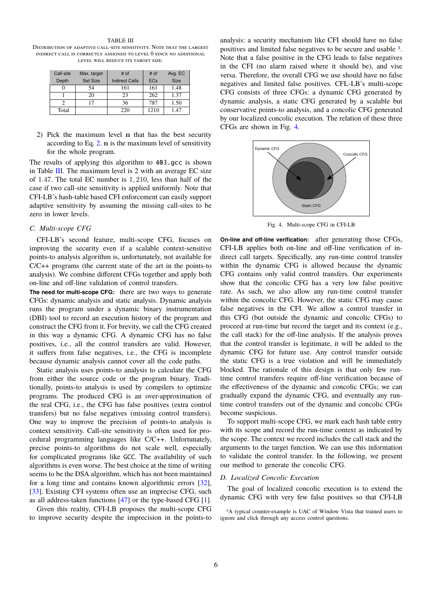<span id="page-5-0"></span>TABLE III Distribution of adaptive call-site sensitivity. Note that the largest indirect call is correctly assigned to level 0 since no additional level will reduce its target size.

| Call-site | Max. target     | # of                  | # of       | Avg. EC |
|-----------|-----------------|-----------------------|------------|---------|
|           |                 |                       |            |         |
| Depth     | <b>Set Size</b> | <b>Indirect Calls</b> | <b>ECs</b> | Size    |
|           | 54              | 161                   | 161        | 1.48    |
|           | 20              | 23                    | 262        | 1.37    |
|           | 17              | 36                    | 787        | 1.50    |
| Total     |                 | 220                   | 1210       | 1.47    |

2) Pick the maximum level n that has the best security according to Eq. [2.](#page-2-1) n is the maximum level of sensitivity for the whole program.

The results of applying this algorithm to 403.gcc is shown in Table [III.](#page-5-0) The maximum level is 2 with an average EC size of 1.47. The total EC number is 1, 210, less than half of the case if two call-site sensitivity is applied uniformly. Note that CFI-LB's hash-table based CFI enforcement can easily support adaptive sensitivity by assuming the missing call-sites to be zero in lower levels.

## *C. Multi-scope CFG*

CFI-LB's second feature, multi-scope CFG, focuses on improving the security even if a scalable context-sensitive points-to analysis algorithm is, unfortunately, not available for C/C++ programs (the current state of the art in the points-to analysis). We combine different CFGs together and apply both on-line and off-line validation of control transfers.

**The need for multi-scope CFG:** there are two ways to generate CFGs: dynamic analysis and static analysis. Dynamic analysis runs the program under a dynamic binary instrumentation (DBI) tool to record an execution history of the program and construct the CFG from it. For brevity, we call the CFG created in this way a dynamic CFG. A dynamic CFG has no false positives, i.e., all the control transfers are valid. However, it suffers from false negatives, i.e., the CFG is incomplete because dynamic analysis cannot cover all the code paths.

Static analysis uses points-to analysis to calculate the CFG from either the source code or the program binary. Traditionally, points-to analysis is used by compilers to optimize programs. The produced CFG is an over-approximation of the real CFG, i.e., the CFG has false positives (extra control transfers) but no false negatives (missing control transfers). One way to improve the precision of points-to analysis is context sensitivity. Call-site sensitivity is often used for procedural programming languages like C/C++. Unfortunately, precise points-to algorithms do not scale well, especially for complicated programs like GCC. The availability of such algorithms is even worse. The best choice at the time of writing seems to be the DSA algorithm, which has not been maintained for a long time and contains known algorithmic errors [\[32\]](#page-15-15), [\[33\]](#page-15-16). Existing CFI systems often use an imprecise CFG, such as all address-taken functions [\[47\]](#page-15-9) or the type-based CFG [\[1\]](#page-14-6).

Given this reality, CFI-LB proposes the multi-scope CFG to improve security despite the imprecision in the points-to

analysis: a security mechanism like CFI should have no false positives and limited false negatives to be secure and usable [3](#page-5-1). Note that a false positive in the CFG leads to false negatives in the CFI (no alarm raised where it should be), and vise versa. Therefore, the overall CFG we use should have no false negatives and limited false positives. CFL-LB's multi-scope CFG consists of three CFGs: a dynamic CFG generated by dynamic analysis, a static CFG generated by a scalable but conservative points-to analysis, and a concolic CFG generated by our localized concolic execution. The relation of these three CFGs are shown in Fig. [4.](#page-5-2)



<span id="page-5-2"></span>Fig. 4. Multi-scope CFG in CFI-LB

**On-line and off-line verification:** after generating those CFGs, CFI-LB applies both on-line and off-line verification of indirect call targets. Specifically, any run-time control transfer within the dynamic CFG is allowed because the dynamic CFG contains only valid control transfers. Our experiments show that the concolic CFG has a very low false positive rate. As such, we also allow any run-time control transfer within the concolic CFG. However, the static CFG may cause false negatives in the CFI. We allow a control transfer in this CFG (but outside the dynamic and concolic CFGs) to proceed at run-time but record the target and its context (e.g., the call stack) for the off-line analysis. If the analysis proves that the control transfer is legitimate, it will be added to the dynamic CFG for future use. Any control transfer outside the static CFG is a true violation and will be immediately blocked. The rationale of this design is that only few runtime control transfers require off-line verification because of the effectiveness of the dynamic and concolic CFGs; we can gradually expand the dynamic CFG, and eventually any runtime control transfers out of the dynamic and concolic CFGs become suspicious.

To support multi-scope CFG, we mark each hash table entry with its scope and record the run-time context as indicated by the scope. The context we record includes the call stack and the arguments to the target function. We can use this information to validate the control transfer. In the following, we present our method to generate the concolic CFG.

#### *D. Localized Concolic Execution*

The goal of localized concolic execution is to extend the dynamic CFG with very few false positives so that CFI-LB

<span id="page-5-1"></span>3A typical counter-example is UAC of Window Vista that trained users to ignore and click through any access control questions.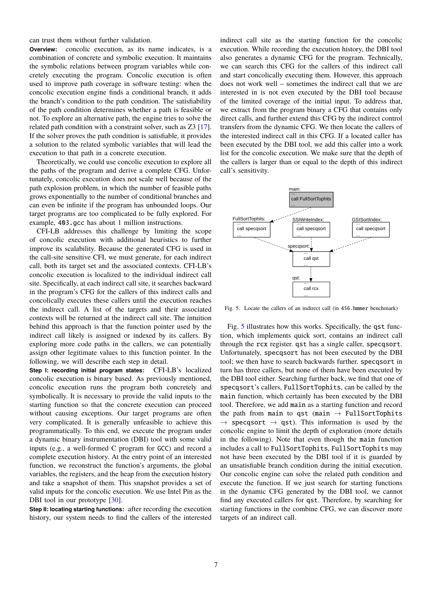can trust them without further validation.

**Overview:** concolic execution, as its name indicates, is a combination of concrete and symbolic execution. It maintains the symbolic relations between program variables while concretely executing the program. Concolic execution is often used to improve path coverage in software testing: when the concolic execution engine finds a conditional branch, it adds the branch's condition to the path condition. The satisfiability of the path condition determines whether a path is feasible or not. To explore an alternative path, the engine tries to solve the related path condition with a constraint solver, such as Z3 [\[17\]](#page-14-9). If the solver proves the path condition is satisfiable, it provides a solution to the related symbolic variables that will lead the execution to that path in a concrete execution.

Theoretically, we could use concolic execution to explore all the paths of the program and derive a complete CFG. Unfortunately, concolic execution does not scale well because of the path explosion problem, in which the number of feasible paths grows exponentially to the number of conditional branches and can even be infinite if the program has unbounded loops. Our target programs are too complicated to be fully explored. For example, 403.gcc has about 1 million instructions.

CFI-LB addresses this challenge by limiting the scope of concolic execution with additional heuristics to further improve its scalability. Because the generated CFG is used in the call-site sensitive CFI, we must generate, for each indirect call, both its target set and the associated contexts. CFI-LB's concolic execution is localized to the individual indirect call site. Specifically, at each indirect call site, it searches backward in the program's CFG for the callers of this indirect calls and concolically executes these callers until the execution reaches the indirect call. A list of the targets and their associated contexts will be returned at the indirect call site. The intuition behind this approach is that the function pointer used by the indirect call likely is assigned or indexed by its callers. By exploring more code paths in the callers, we can potentially assign other legitimate values to this function pointer. In the following, we will describe each step in detail.

**Step I: recording initial program states:** CFI-LB's localized concolic execution is binary based. As previously mentioned, concolic execution runs the program both concretely and symbolically. It is necessary to provide the valid inputs to the starting function so that the concrete execution can proceed without causing exceptions. Our target programs are often very complicated. It is generally unfeasible to achieve this programmatically. To this end, we execute the program under a dynamic binary instrumentation (DBI) tool with some valid inputs (e.g., a well-formed C program for GCC) and record a complete execution history. At the entry point of an interested function, we reconstruct the function's arguments, the global variables, the registers, and the heap from the execution history and take a snapshot of them. This snapshot provides a set of valid inputs for the concolic execution. We use Intel Pin as the DBI tool in our prototype [\[30\]](#page-15-17).

**Step II: locating starting functions:** after recording the execution history, our system needs to find the callers of the interested

indirect call site as the starting function for the concolic execution. While recording the execution history, the DBI tool also generates a dynamic CFG for the program. Technically, we can search this CFG for the callers of this indirect call and start concolically executing them. However, this approach does not work well – sometimes the indirect call that we are interested in is not even executed by the DBI tool because of the limited coverage of the initial input. To address that, we extract from the program binary a CFG that contains only direct calls, and further extend this CFG by the indirect control transfers from the dynamic CFG. We then locate the callers of the interested indirect call in this CFG. If a located caller has been executed by the DBI tool, we add this caller into a work list for the concolic execution. We make sure that the depth of the callers is larger than or equal to the depth of this indirect call's sensitivity.



<span id="page-6-0"></span>Fig. 5. Locate the callers of an indirect call (in 456.hmmer benchmark)

Fig. [5](#page-6-0) illustrates how this works. Specifically, the qst function, which implements quick sort, contains an indirect call through the rcx register. qst has a single caller, specqsort. Unfortunately, specqsort has not been executed by the DBI tool; we then have to search backwards further. specqsort in turn has three callers, but none of them have been executed by the DBI tool either. Searching further back, we find that one of specqsort's callers, FullSortTophits, can be called by the main function, which certainly has been executed by the DBI tool. Therefore, we add main as a starting function and record the path from main to qst (main  $\rightarrow$  FullSortTophits  $\rightarrow$  specqsort  $\rightarrow$  qst). This information is used by the concolic engine to limit the depth of exploration (more details in the following). Note that even though the main function includes a call to FullSortTophits, FullSortTophits may not have been executed by the DBI tool if it is guarded by an unsatisfiable branch condition during the initial execution. Our concolic engine can solve the related path condition and execute the function. If we just search for starting functions in the dynamic CFG generated by the DBI tool, we cannot find any executed callers for qst. Therefore, by searching for starting functions in the combine CFG, we can discover more targets of an indirect call.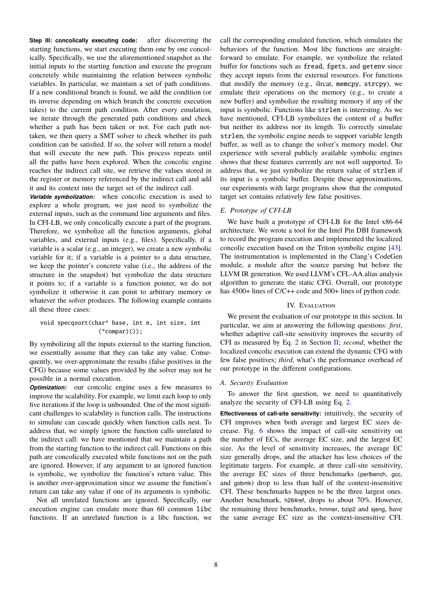**Step III: concolically executing code:** after discovering the starting functions, we start executing them one by one concolically. Specifically, we use the aforementioned snapshot as the initial inputs to the starting function and execute the program concretely while maintaining the relation between symbolic variables. In particular, we maintain a set of path conditions. If a new conditional branch is found, we add the condition (or its inverse depending on which branch the concrete execution takes) to the current path condition. After every emulation, we iterate through the generated path conditions and check whether a path has been taken or not. For each path nottaken, we then query a SMT solver to check whether its path condition can be satisfied. If so, the solver will return a model that will execute the new path. This process repeats until all the paths have been explored. When the concolic engine reaches the indirect call site, we retrieve the values stored in the register or memory referenced by the indirect call and add it and its context into the target set of the indirect call.

*Variable symbolization:* when concolic execution is used to explore a whole program, we just need to symbolize the external inputs, such as the command line arguments and files. In CFI-LB, we only concolically execute a part of the program. Therefore, we symbolize all the function arguments, global variables, and external inputs (e.g., files). Specifically, if a variable is a scalar (e.g., an integer), we create a new symbolic variable for it; if a variable is a pointer to a data structure, we keep the pointer's concrete value (i.e., the address of the structure in the snapshot) but symbolize the data structure it points to; if a variable is a function pointer, we do not symbolize it otherwise it can point to arbitrary memory or whatever the solver produces. The following example contains all these three cases:

# void specqsort(char\* base, int n, int size, int (\*compar)());

By symbolizing all the inputs external to the starting function, we essentially assume that they can take any value. Consequently, we over-approximate the results (false positives in the CFG) because some values provided by the solver may not be possible in a normal execution.

*Optimization:* our concolic engine uses a few measures to improve the scalability. For example, we limit each loop to only five iterations if the loop is unbounded. One of the most significant challenges to scalability is function calls. The instructions to simulate can cascade quickly when function calls nest. To address that, we simply ignore the function calls unrelated to the indirect call: we have mentioned that we maintain a path from the starting function to the indirect call. Functions on this path are concolically executed while functions not on the path are ignored. However, if any argument to an ignored function is symbolic, we symbolize the function's return value. This is another over-approximation since we assume the function's return can take any value if one of its arguments is symbolic.

Not all unrelated functions are ignored. Specifically, our execution engine can emulate more than 60 common libc functions. If an unrelated function is a libc function, we

call the corresponding emulated function, which simulates the behaviors of the function. Most libc functions are straightforward to emulate. For example, we symbolize the related buffer for functions such as fread, fgets, and getenv since they accept inputs from the external resources. For functions that modify the memory (e.g., strcat, memcpy, strcpy), we emulate their operations on the memory (e.g., to create a new buffer) and symbolize the resulting memory if any of the input is symbolic. Functions like strlen is interesting. As we have mentioned, CFI-LB symbolizes the content of a buffer but neither its address nor its length. To correctly simulate strlen, the symbolic engine needs to support variable length buffer, as well as to change the solver's memory model. Our experience with several publicly available symbolic engines shows that these features currently are not well supported. To address that, we just symbolize the return value of strlen if its input is a symbolic buffer. Despite these approximations, our experiments with large programs show that the computed target set contains relatively few false positives.

# *E. Prototype of CFI-LB*

We have built a prototype of CFI-LB for the Intel x86-64 architecture. We wrote a tool for the Intel Pin DBI framework to record the program execution and implemented the localized concolic execution based on the Triton symbolic engine [\[43\]](#page-15-18). The instrumentation is implemented in the Clang's CodeGen module, a module after the source parsing but before the LLVM IR generation. We used LLVM's CFL-AA alias analysis algorithm to generate the static CFG. Overall, our prototype has 4500+ lines of C/C++ code and 500+ lines of python code.

## IV. EVALUATION

<span id="page-7-0"></span>We present the evaluation of our prototype in this section. In particular, we aim at answering the following questions: *first*, whether adaptive call-site sensitivity improves the security of CFI as measured by Eq. [2](#page-2-1) in Section [II;](#page-1-1) *second*, whether the localized concolic execution can extend the dynamic CFG with few false positives; *third*, what's the performance overhead of our prototype in the different configurations.

#### *A. Security Evaluation*

To answer the first question, we need to quantitatively analyze the security of CFI-LB using Eq. [2.](#page-2-1)

**Effectiveness of call-site sensitivity:** intuitively, the security of CFI improves when both average and largest EC sizes decrease. Fig. [6](#page-9-0) shows the impact of call-site sensitivity on the number of ECs, the average EC size, and the largest EC size. As the level of sensitivity increases, the average EC size generally drops, and the attacker has less choices of the legitimate targets. For example, at three call-site sensitivity, the average EC sizes of three benchmarks (perlbench, gcc, and gobmk) drop to less than half of the context-insensitive CFI. These benchmarks happen to be the three largest ones. Another benchmark, h264ref, drops to about 70%. However, the remaining three benchmarks, hmmer, bzip2 and sjeng, have the same average EC size as the context-insensitive CFI.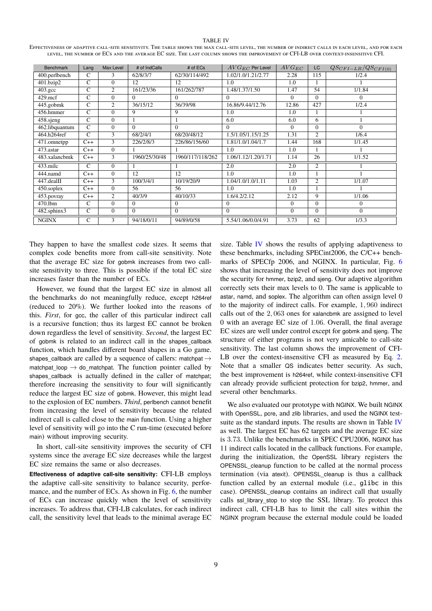#### TABLE IV

<span id="page-8-0"></span>Effectiveness of adaptive call-site sensitivity. The table shows the max call-site level, the number of indirect calls in each level, and for each level, the number of ECs and the average EC size. The last column shows the improvement of CFI-LB over context-insensitive CFI.

| <b>Benchmark</b> | Lang           | Max Level      | # of IndCalls | # of ECs         | $AVG_{EC}$ Per Level | $AVG_{EC}$ | LC             | $QS_{CFI-LB}/QS_{CFI(0)}$ |
|------------------|----------------|----------------|---------------|------------------|----------------------|------------|----------------|---------------------------|
| 400.perlbench    | C              | 3              | 62/8/3/7      | 62/30/114/492    | 1.02/1.0/1.21/2.77   | 2.28       | 115            | 1/2.4                     |
| 401.bzip2        | $\overline{C}$ | $\Omega$       | 12            | 12               | 1.0                  | 1.0        |                |                           |
| $403.\text{gcc}$ | $\mathsf{C}$   | $\overline{2}$ | 161/23/36     | 161/262/787      | 1.48/1.37/1.50       | 1.47       | 54             | 1/1.84                    |
| $429$ .mcf       | $\mathsf{C}$   | $\Omega$       | $\Omega$      | $\Omega$         | $\Omega$             | $\Omega$   | $\Omega$       | $\Omega$                  |
| 445.gobmk        | $\mathsf{C}$   | 2              | 36/15/12      | 36/39/98         | 16.86/9.44/12.76     | 12.86      | 427            | 1/2.4                     |
| 456.hmmer        | $\mathsf{C}$   | $\Omega$       | 9             | 9                | 1.0                  | 1.0        |                |                           |
| 458.sjeng        | $\mathsf{C}$   | $\Omega$       |               |                  | 6.0                  | 6.0        | 6              |                           |
| 462.libquantum   | $\mathsf{C}$   | $\Omega$       | $\Omega$      | $\Omega$         | $\Omega$             | $\Omega$   | $\Omega$       | $\Omega$                  |
| 464.h264ref      | $\mathsf{C}$   | 3              | 68/2/4/1      | 68/20/48/12      | 1.5/1.05/1.15/1.25   | 1.31       | $\overline{2}$ | 1/6.4                     |
| 471.omnetpp      | $C++$          | 3              | 226/2/8/3     | 226/86/156/60    | 1.81/1.0/1.04/1.7    | 1.44       | 168            | 1/1.45                    |
| 473.astar        | $C++$          | $\Omega$       |               |                  | 1.0                  | 1.0        |                |                           |
| 483.xalancbmk    | $C++$          | 3              | 1960/25/30/48 | 1960/117/118/262 | 1.06/1.12/1.20/1.71  | 1.14       | 26             | 1/1.52                    |
| $433$ .milc      | $\mathsf{C}$   | $\Omega$       |               |                  | 2.0                  | 2.0        | 2              |                           |
| 444.namd         | $C++$          | $\Omega$       | 12            | 12               | 1.0                  | 1.0        |                |                           |
| $447$ .dealII    | $C++$          | 3              | 100/3/4/1     | 10/19/20/9       | 1.04/1.0/1.0/1.11    | 1.03       | $\overline{2}$ | 1/1.07                    |
| 450.soplex       | $C++$          | $\Omega$       | 56            | 56               | 1.0                  | 1.0        |                |                           |
| 453.povray       | $C++$          | 2              | 40/3/9        | 40/10/33         | 1.6/4.2/2.12         | 2.12       | 9              | 1/1.06                    |
| 470.1bm          | $\mathsf{C}$   | $\Omega$       | $\Omega$      | $\Omega$         | $\mathbf{0}$         | $\Omega$   | $\Omega$       | $\Omega$                  |
| 482.sphinx3      | $\mathsf{C}$   | $\Omega$       | $\Omega$      | $\Omega$         | $\Omega$             | $\Omega$   | $\Omega$       | $\Omega$                  |
| <b>NGINX</b>     | $\mathsf{C}$   | 3              | 94/18/0/11    | 94/89/0/58       | 5.54/1.06/0.0/4.91   | 3.73       | 62             | 1/3.3                     |

They happen to have the smallest code sizes. It seems that complex code benefits more from call-site sensitivity. Note that the average EC size for gobmk increases from two callsite sensitivity to three. This is possible if the total EC size increases faster than the number of ECs.

However, we found that the largest EC size in almost all the benchmarks do not meaningfully reduce, except h264ref (reduced to 20%). We further looked into the reasons of this. *First*, for gcc, the caller of this particular indirect call is a recursive function; thus its largest EC cannot be broken down regardless the level of sensitivity. *Second*, the largest EC of gobmk is related to an indirect call in the shapes\_callback function, which handles different board shapes in a Go game. shapes callback are called by a sequence of callers: matchpat  $\rightarrow$ matchpat\_loop  $\rightarrow$  do\_matchpat. The function pointer called by shapes\_callback is actually defined in the caller of matchpat; therefore increasing the sensitivity to four will significantly reduce the largest EC size of gobmk. However, this might lead to the explosion of EC numbers. *Third*, perlbench cannot benefit from increasing the level of sensitivity because the related indirect call is called close to the main function. Using a higher level of sensitivity will go into the C run-time (executed before main) without improving security.

In short, call-site sensitivity improves the security of CFI systems since the average EC size decreases while the largest EC size remains the same or also decreases.

**Effectiveness of adaptive call-site sensitivity:** CFI-LB employs the adaptive call-site sensitivity to balance security, perfor-mance, and the number of ECs. As shown in Fig. [6,](#page-9-0) the number of ECs can increase quickly when the level of sensitivity increases. To address that, CFI-LB calculates, for each indirect call, the sensitivity level that leads to the minimal average EC size. Table [IV](#page-8-0) shows the results of applying adaptiveness to these benchmarks, including SPECint2006, the C/C++ benchmarks of SPECfp 2006, and NGINX. In particular, Fig. [6](#page-9-0) shows that increasing the level of sensitivity does not improve the security for hmmer, bzip2, and sjeng. Our adaptive algorithm correctly sets their max levels to 0. The same is applicable to astar, namd, and soplex. The algorithm can often assign level 0 to the majority of indirect calls. For example, 1, 960 indirect calls out of the 2, 063 ones for xalancbmk are assigned to level 0 with an average EC size of 1.06. Overall, the final average EC sizes are well under control except for gobmk and sjeng. The structure of either programs is not very amicable to call-site sensitivity. The last column shows the improvement of CFI-LB over the context-insensitive CFI as measured by Eq. [2.](#page-2-1) Note that a smaller QS indicates better security. As such, the best improvement is h264ref, while context-insensitive CFI can already provide sufficient protection for bzip2, hmmer, and several other benchmarks.

We also evaluated our prototype with NGINX. We built NGINX with OpenSSL, pcre, and zlib libraries, and used the NGINX testsuite as the standard inputs. The results are shown in Table [IV](#page-8-0) as well. The largest EC has 62 targets and the average EC size is 3.73. Unlike the benchmarks in SPEC CPU2006, NGINX has 11 indirect calls located in the callback functions. For example, during the initialization, the OpenSSL library registers the OPENSSL\_cleanup function to be called at the normal process termination (via atexit). OPENSSL\_cleanup is thus a callback function called by an external module (i.e., glibc in this case). OPENSSL\_cleanup contains an indirect call that usually calls ssl\_library\_stop to stop the SSL library. To protect this indirect call, CFI-LB has to limit the call sites within the NGINX program because the external module could be loaded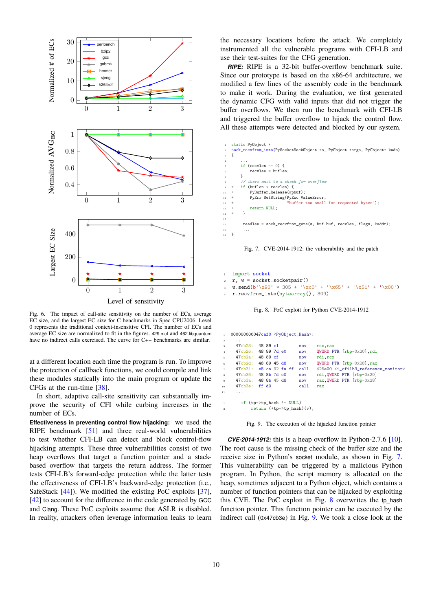

<span id="page-9-0"></span>Fig. 6. The impact of call-site sensitivity on the number of ECs, average EC size, and the largest EC size for C benchmarks in Spec CPU2006. Level 0 represents the traditional context-insensitive CFI. The number of ECs and average EC size are normalized to fit in the figures. 429.mcf and 462.libquantum have no indirect calls exercised. The curve for C++ benchmarks are similar.

at a different location each time the program is run. To improve the protection of callback functions, we could compile and link these modules statically into the main program or update the CFGs at the run-time [\[38\]](#page-15-19).

In short, adaptive call-site sensitivity can substantially improve the security of CFI while curbing increases in the number of ECs.

**Effectiveness in preventing control flow hijacking:** we used the RIPE benchmark [\[51\]](#page-15-20) and three real-world vulnerabilities to test whether CFI-LB can detect and block control-flow hijacking attempts. These three vulnerabilities consist of two heap overflows that target a function pointer and a stackbased overflow that targets the return address. The former tests CFI-LB's forward-edge protection while the latter tests the effectiveness of CFI-LB's backward-edge protection (i.e., SafeStack [\[44\]](#page-15-21)). We modified the existing PoC exploits [\[37\]](#page-15-22), [\[42\]](#page-15-23) to account for the difference in the code generated by GCC and Clang. These PoC exploits assume that ASLR is disabled. In reality, attackers often leverage information leaks to learn

the necessary locations before the attack. We completely instrumented all the vulnerable programs with CFI-LB and use their test-suites for the CFG generation.

*RIPE:* RIPE is a 32-bit buffer-overflow benchmark suite. Since our prototype is based on the x86-64 architecture, we modified a few lines of the assembly code in the benchmark to make it work. During the evaluation, we first generated the dynamic CFG with valid inputs that did not trigger the buffer overflows. We then run the benchmark with CFI-LB and triggered the buffer overflow to hijack the control flow. All these attempts were detected and blocked by our system.

| $1$ $\,$       | static PyObject *                                                         |
|----------------|---------------------------------------------------------------------------|
| $\,2\,$        | sock_recvfrom_into(PySocketSockObject *s, PyObject *args, PyObject* kwds) |
| $\mathbf{a}$   | ł                                                                         |
| $\overline{4}$ | $\cdots$                                                                  |
| 5              | if (recylen $== 0$ ) f                                                    |
| 6              | $recvlen = buffer$ ;                                                      |
| $\tau$         | ł                                                                         |
| $\,$ 8 $\,$    | // there must be a check for overflow                                     |
|                | $\frac{1}{2}$ + if (buflen < recvlen) {                                   |
| $10-10$        | PyBuffer_Release(&pbuf);<br>$^{+}$                                        |
| 11             | PyErr_SetString(PyExc_ValueError,<br>$+$                                  |
| 12             | "buffer too small for requested bytes");<br>$\pm$                         |
| 13             | return NULL;<br>$+$                                                       |
| 14             | ł<br>$+$                                                                  |
| 15             |                                                                           |
| 16             | readlen = sock_recvfrom_guts(s, buf.buf, recvlen, flags, &addr);          |
| 17             | $\cdot$ $\cdot$ $\cdot$                                                   |
| 18             |                                                                           |

<span id="page-9-1"></span>Fig. 7. CVE-2014-1912: the vulnerability and the patch

```
import socket
r, w = socket.socketpair()
w.\text{send}(b'\x90' * 305 + '\xc0' + '\x65' + '\x51' + '\x00')r.recvfrom into(bytearray(), 309)
```
<span id="page-9-2"></span>

| $\mathbf{1}$   | 000000000047caf0 <py0bject_hash>:</py0bject_hash> |                             |  |  |      |                                                                  |  |  |
|----------------|---------------------------------------------------|-----------------------------|--|--|------|------------------------------------------------------------------|--|--|
| $\overline{2}$ | $\cdots$                                          |                             |  |  |      |                                                                  |  |  |
| 3              | $47ch23$ :                                        | 48 89 c1                    |  |  | mov  | rcx, rax                                                         |  |  |
| $\overline{4}$ | 47cb26: 48897d e0                                 |                             |  |  | mov  | QWORD PTR [rbp-0x20], rdi                                        |  |  |
| 5.             | 47cb2a: 48 89 cf                                  |                             |  |  | mov  | rdi.rcx                                                          |  |  |
| 6              | $47cb2d$ :                                        | 48 89 45 d8                 |  |  | mov  | QWORD PTR [rbp-0x28], rax                                        |  |  |
| $\tau$         | $47cb31:$ e8 ca 92 fa ff                          |                             |  |  | call | 425e00 <i_cfilb3_reference_monitor></i_cfilb3_reference_monitor> |  |  |
| $\mathbf{s}$   | 47ch36: 488b7d60                                  |                             |  |  | mov  | rdi, QWORD PTR [rbp-0x20]                                        |  |  |
| 9              | 47cb3a: 48 8b 45 d8                               |                             |  |  | mov  | rax, QWORD PTR [rbp-0x28]                                        |  |  |
| 10             | $47cb3e:$ ff $d0$                                 |                             |  |  | call | rax                                                              |  |  |
| 11             | $\cdots$                                          |                             |  |  |      |                                                                  |  |  |
| $\mathbf{1}$   |                                                   | if $(tp->tp\_hash := NULL)$ |  |  |      |                                                                  |  |  |
| $\overline{a}$ | return $(*tp->tp\_hash)(v)$ ;                     |                             |  |  |      |                                                                  |  |  |

<span id="page-9-3"></span>Fig. 9. The execution of the hijacked function pointer

*CVE-2014-1912:* this is a heap overflow in Python-2.7.6 [\[10\]](#page-14-10). The root cause is the missing check of the buffer size and the receive size in Python's socket module, as shown in Fig. [7.](#page-9-1) This vulnerability can be triggered by a malicious Python program. In Python, the script memory is allocated on the heap, sometimes adjacent to a Python object, which contains a number of function pointers that can be hijacked by exploiting this CVE. The PoC exploit in Fig. [8](#page-9-2) overwrites the tp\_hash function pointer. This function pointer can be executed by the indirect call (0x47cb3e) in Fig. [9.](#page-9-3) We took a close look at the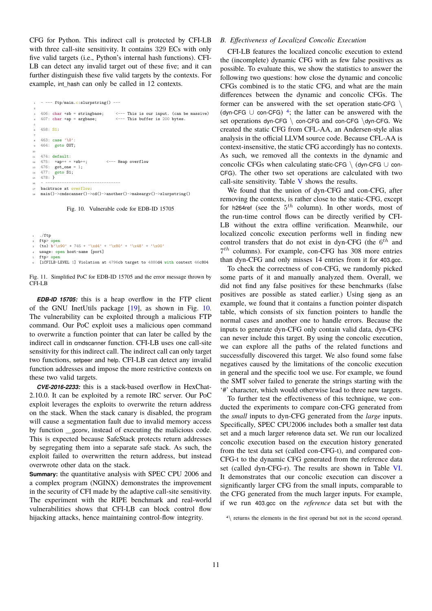CFG for Python. This indirect call is protected by CFI-LB with three call-site sensitivity. It contains 329 ECs with only five valid targets (i.e., Python's internal hash functions). CFI-LB can detect any invalid target out of these five; and it can further distinguish these five valid targets by the contexts. For example, int hash can only be called in 12 contexts.

 $1 - - -$  ftp/main.c:slurpstring() ---2 <sup>3</sup> 406: char \*sb = stringbase; <--- This is our input. (can be massive) 407: char  $*ap = argbase$ ;  $\leftarrow -r$  This buffer is 200 bytes. 5 <sup>6</sup> 458: S1: 7 <sup>8</sup> 463: case '\0': <sup>9</sup> 464: goto OUT; 10 11 474: default:<br>12 475: \*ap++ = <sup>12</sup> 475: \*ap++ = \*sb++; <--- Heap overflow <sup>13</sup> 476: got\_one = 1;  $14 \quad 477: \quad \text{goto } S1:$ <sup>15</sup> 478: } <sup>16</sup> - -------------------------------- 17 backtrace at overflow: <sup>18</sup> main()->cmdscanner()->cd()->another()->makeargv()->slurpstring()

<span id="page-10-0"></span>Fig. 10. Vulnerable code for EDB-ID 15705

```
/ftp
2 ftp> open
   (to) b'\x90' * 745 + '\xd4' + '\x80' + '\x48' + '\x00'
  usage: open host-name [port]
  ftp> open
  fiCFILB-LEVEL 1] Violation at 4796cb target to 4880d4 with context 46c804
```
Fig. 11. Simplified PoC for EDB-ID 15705 and the error message thrown by CFI-LB

*EDB-ID 15705:* this is a heap overflow in the FTP client of the GNU InetUtils package [\[19\]](#page-14-11), as shown in Fig. [10.](#page-10-0) The vulnerability can be exploited through a malicious FTP command. Our PoC exploit uses a malicious open command to overwrite a function pointer that can later be called by the indirect call in cmdscanner function. CFI-LB uses one call-site sensitivity for this indirect call. The indirect call can only target two functions, setpeer and help. CFI-LB can detect any invalid function addresses and impose the more restrictive contexts on these two valid targets.

*CVE-2016-2233:* this is a stack-based overflow in HexChat-2.10.0. It can be exploited by a remote IRC server. Our PoC exploit leverages the exploits to overwrite the return address on the stack. When the stack canary is disabled, the program will cause a segmentation fault due to invalid memory access by function \_\_gconv, instead of executing the malicious code. This is expected because SafeStack protects return addresses by segregating them into a separate safe stack. As such, the exploit failed to overwritten the return address, but instead overwrote other data on the stack.

**Summary:** the quantitative analysis with SPEC CPU 2006 and a complex program (NGINX) demonstrates the improvement in the security of CFI made by the adaptive call-site sensitivity. The experiment with the RIPE benchmark and real-world vulnerabilities shows that CFI-LB can block control flow hijacking attacks, hence maintaining control-flow integrity.

## *B. Effectiveness of Localized Concolic Execution*

CFI-LB features the localized concolic execution to extend the (incomplete) dynamic CFG with as few false positives as possible. To evaluate this, we show the statistics to answer the following two questions: how close the dynamic and concolic CFGs combined is to the static CFG, and what are the main differences between the dynamic and concolic CFGs. The former can be answered with the set operation static-CFG \ (dyn-CFG  $\cup$  con-CFG)<sup>[4](#page-10-1)</sup>; the latter can be answered with the set operations dyn-CFG \ con-CFG and con-CFG \dyn-CFG. We created the static CFG from CFL-AA, an Andersen-style alias analysis in the official LLVM source code. Because CFL-AA is context-insensitive, the static CFG accordingly has no contexts. As such, we removed all the contexts in the dynamic and concolic CFGs when calculating static-CFG \ (dyn-CFG  $\cup$  con-CFG). The other two set operations are calculated with two call-site sensitivity. Table [V](#page-11-0) shows the results.

We found that the union of dyn-CFG and con-CFG, after removing the contexts, is rather close to the static-CFG, except for h264ref (see the  $5<sup>th</sup>$  column). In other words, most of the run-time control flows can be directly verified by CFI-LB without the extra offline verification. Meanwhile, our localized concolic execution performs well in finding new control transfers that do not exist in dyn-CFG (the  $6^{th}$  and 7 th columns). For example, con-CFG has 308 more entries than dyn-CFG and only misses 14 entries from it for 403.gcc.

To check the correctness of con-CFG, we randomly picked some parts of it and manually analyzed them. Overall, we did not find any false positives for these benchmarks (false positives are possible as stated earlier.) Using sjeng as an example, we found that it contains a function pointer dispatch table, which consists of six function pointers to handle the normal cases and another one to handle errors. Because the inputs to generate dyn-CFG only contain valid data, dyn-CFG can never include this target. By using the concolic execution, we can explore all the paths of the related functions and successfully discovered this target. We also found some false negatives caused by the limitations of the concolic execution in general and the specific tool we use. For example, we found the SMT solver failed to generate the strings starting with the '#' character, which would otherwise lead to three new targets.

To further test the effectiveness of this technique, we conducted the experiments to compare con-CFG generated from the *small* inputs to dyn-CFG generated from the *large* inputs. Specifically, SPEC CPU2006 includes both a smaller test data set and a much larger reference data set. We run our localized concolic execution based on the execution history generated from the test data set (called con-CFG-t), and compared con-CFG-t to the dynamic CFG generated from the reference data set (called dyn-CFG-r). The results are shown in Table [VI.](#page-11-1) It demonstrates that our concolic execution can discover a significantly larger CFG from the small inputs, comparable to the CFG generated from the much larger inputs. For example, if we run 403.gcc on the *reference* data set but with the

<span id="page-10-1"></span>4\ returns the elements in the first operand but not in the second operand.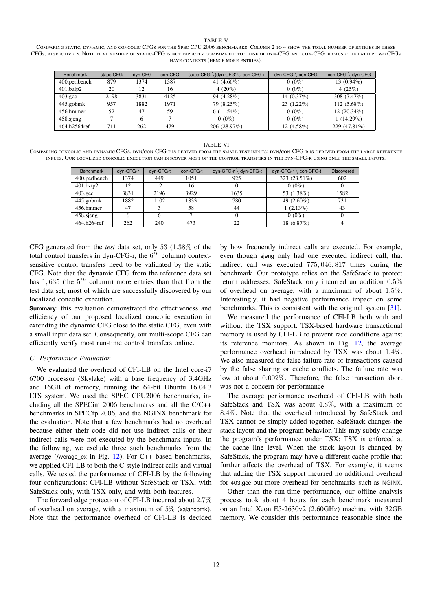#### TABLE V

<span id="page-11-0"></span>Comparing static, dynamic, and concolic CFGs for the Spec CPU 2006 benchmarks. Column 2 to 4 show the total number of entries in these CFGs, respectively. Note that number of static-CFG is not directly comparable to these of dyn-CFG and con-CFG because the latter two CFGs have contexts (hence more entries).

| Benchmark        | static-CFG | dyn-CFG | con-CFG | static-CFG \(dyn-CFG' ∪ con-CFG') | dvn-CFG<br>con-CFG | $con-CFG \setminus dyn-CFG$ |
|------------------|------------|---------|---------|-----------------------------------|--------------------|-----------------------------|
| 400.perlbench    | 879        | 1374    | 1387    | 41 $(4.66\%)$                     | $0(0\%)$           | $13(0.94\%)$                |
| $401$ bzip2      | 20         | 12      | 16      | 4 $(20\%)$                        | $0(0\%)$           | $4(25\%)$                   |
| $403.\text{gcc}$ | 2198       | 3831    | 4125    | 94 (4.28%)                        | $14(0.37\%)$       | 308 $(7.47\%)$              |
| 445.gobmk        | 957        | 1882    | 1971    | 79 (8.25%)                        | $23(1.22\%)$       | $112(5.68\%)$               |
| 456.hmmer        | 52         | 47      | 59      | $6(11.54\%)$                      | $0(0\%)$           | $12(20.34\%)$               |
| 458 sjeng        |            | 6       |         | $0(0\%)$                          | $0(0\%)$           | $1(14.29\%)$                |
| 464.h2564ref     | 711        | 262     | 479     | 206 (28.97%)                      | $12(4.58\%)$       | 229 (47.81%)                |

#### TABLE VI

<span id="page-11-1"></span>Comparing concolic and dynamic CFGs. dyn/con-CFG-t is derived from the small test inputs; dyn/con-CFG-r is derived from the large reference inputs. Our localized concolic execution can discover most of the control transfers in the dyn-CFG-r using only the small inputs.

| <b>Benchmark</b> | dyn-CFG-r | dyn-CFG-t | con-CFG-t | $dyn-CFG-r \setminus dyn-CFG-t$ | $dyn\text{-}CFG\text{-}r \setminus con\text{-}CFG\text{-}t$ | <b>Discovered</b> |
|------------------|-----------|-----------|-----------|---------------------------------|-------------------------------------------------------------|-------------------|
| 400.perlbench    | 1374      | 449       | 1051      | 925                             | 323 (23.51%)                                                | 602               |
| 401.bzip2        | 12        | 12        | 16        |                                 | $0(0\%)$                                                    | $\theta$          |
| $403.\text{gcc}$ | 3831      | 2196      | 3929      | 1635                            | 53 (1.38%)                                                  | 1582              |
| 445.gobmk        | 1882      | 1102      | 1833      | 780                             | 49 $(2.60\%)$                                               | 731               |
| 456.hmmer        | 47        | 2         | 58        | 44                              | $1(2.13\%)$                                                 | 43                |
| $458$ .sjeng     |           |           |           |                                 | $0(0\%)$                                                    |                   |
| 464.h264ref      | 262       | 240       | 473       | 22                              | $18(6.87\%)$                                                |                   |

CFG generated from the *test* data set, only 53 (1.38% of the total control transfers in dyn-CFG-r, the  $6^{th}$  column) contextsensitive control transfers need to be validated by the static CFG. Note that the dynamic CFG from the reference data set has 1,635 (the  $5<sup>th</sup>$  column) more entries than that from the test data set; most of which are successfully discovered by our localized concolic execution.

**Summary:** this evaluation demonstrated the effectiveness and efficiency of our proposed localized concolic execution in extending the dynamic CFG close to the static CFG, even with a small input data set. Consequently, our multi-scope CFG can efficiently verify most run-time control transfers online.

#### *C. Performance Evaluation*

We evaluated the overhead of CFI-LB on the Intel core-i7 6700 processor (Skylake) with a base frequency of 3.4GHz and 16GB of memory, running the 64-bit Ubuntu 16.04.3 LTS system. We used the SPEC CPU2006 benchmarks, including all the SPECint 2006 benchmarks and all the C/C++ benchmarks in SPECfp 2006, and the NGINX benchmark for the evaluation. Note that a few benchmarks had no overhead because either their code did not use indirect calls or their indirect calls were not executed by the benchmark inputs. In the following, we exclude three such benchmarks from the average (Average\_ex in Fig. [12\)](#page-12-0). For C++ based benchmarks, we applied CFI-LB to both the C-style indirect calls and virtual calls. We tested the performance of CFI-LB by the following four configurations: CFI-LB without SafeStack or TSX, with SafeStack only, with TSX only, and with both features.

The forward edge protection of CFI-LB incurred about 2.7% of overhead on average, with a maximum of 5% (xalancbmk). Note that the performance overhead of CFI-LB is decided by how frequently indirect calls are executed. For example, even though sjeng only had one executed indirect call, that indirect call was executed 775, 046, 817 times during the benchmark. Our prototype relies on the SafeStack to protect return addresses. SafeStack only incurred an addition 0.5% of overhead on average, with a maximum of about 1.5%. Interestingly, it had negative performance impact on some benchmarks. This is consistent with the original system [\[31\]](#page-15-14).

We measured the performance of CFI-LB both with and without the TSX support. TSX-based hardware transactional memory is used by CFI-LB to prevent race conditions against its reference monitors. As shown in Fig. [12,](#page-12-0) the average performance overhead introduced by TSX was about 1.4%. We also measured the false failure rate of transactions caused by the false sharing or cache conflicts. The failure rate was low at about 0.002%. Therefore, the false transaction abort was not a concern for performance.

The average performance overhead of CFI-LB with both SafeStack and TSX was about 4.8%, with a maximum of 8.4%. Note that the overhead introduced by SafeStack and TSX cannot be simply added together. SafeStack changes the stack layout and the program behavior. This may subtly change the program's performance under TSX: TSX is enforced at the cache line level. When the stack layout is changed by SafeStack, the program may have a different cache profile that further affects the overhead of TSX. For example, it seems that adding the TSX support incurred no additional overhead for 403.gcc but more overhead for benchmarks such as NGINX.

Other than the run-time performance, our offline analysis process took about 4 hours for each benchmark measured on an Intel Xeon E5-2630v2 (2.60GHz) machine with 32GB memory. We consider this performance reasonable since the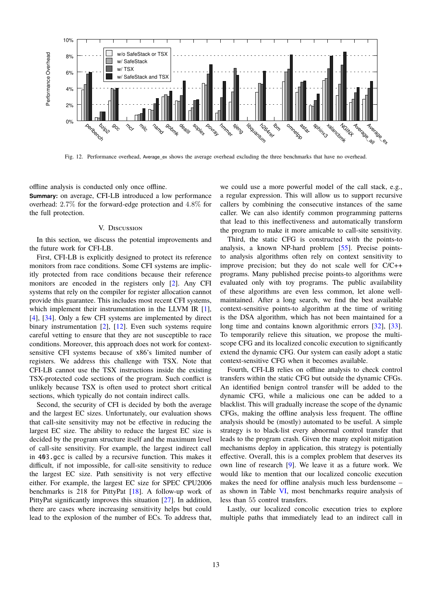

<span id="page-12-0"></span>Fig. 12. Performance overhead, Average ex shows the average overhead excluding the three benchmarks that have no overhead.

offline analysis is conducted only once offline.

**Summary:** on average, CFI-LB introduced a low performance overhead: 2.7% for the forward-edge protection and 4.8% for the full protection.

# V. Discussion

In this section, we discuss the potential improvements and the future work for CFI-LB.

First, CFI-LB is explicitly designed to protect its reference monitors from race conditions. Some CFI systems are implicitly protected from race conditions because their reference monitors are encoded in the registers only [\[2\]](#page-14-0). Any CFI systems that rely on the compiler for register allocation cannot provide this guarantee. This includes most recent CFI systems, which implement their instrumentation in the LLVM IR [\[1\]](#page-14-6), [\[4\]](#page-14-7), [\[34\]](#page-15-10). Only a few CFI systems are implemented by direct binary instrumentation [\[2\]](#page-14-0), [\[12\]](#page-14-12). Even such systems require careful vetting to ensure that they are not susceptible to race conditions. Moreover, this approach does not work for contextsensitive CFI systems because of x86's limited number of registers. We address this challenge with TSX. Note that CFI-LB cannot use the TSX instructions inside the existing TSX-protected code sections of the program. Such conflict is unlikely because TSX is often used to protect short critical sections, which typically do not contain indirect calls.

Second, the security of CFI is decided by both the average and the largest EC sizes. Unfortunately, our evaluation shows that call-site sensitivity may not be effective in reducing the largest EC size. The ability to reduce the largest EC size is decided by the program structure itself and the maximum level of call-site sensitivity. For example, the largest indirect call in 403.gcc is called by a recursive function. This makes it difficult, if not impossible, for call-site sensitivity to reduce the largest EC size. Path sensitivity is not very effective either. For example, the largest EC size for SPEC CPU2006 benchmarks is 218 for PittyPat [\[18\]](#page-14-1). A follow-up work of PittyPat significantly improves this situation [\[27\]](#page-15-24). In addition, there are cases where increasing sensitivity helps but could lead to the explosion of the number of ECs. To address that,

we could use a more powerful model of the call stack, e.g., a regular expression. This will allow us to support recursive callers by combining the consecutive instances of the same caller. We can also identify common programming patterns that lead to this ineffectiveness and automatically transform the program to make it more amicable to call-site sensitivity.

Third, the static CFG is constructed with the points-to analysis, a known NP-hard problem [\[55\]](#page-15-25). Precise pointsto analysis algorithms often rely on context sensitivity to improve precision; but they do not scale well for C/C++ programs. Many published precise points-to algorithms were evaluated only with toy programs. The public availability of these algorithms are even less common, let alone wellmaintained. After a long search, we find the best available context-sensitive points-to algorithm at the time of writing is the DSA algorithm, which has not been maintained for a long time and contains known algorithmic errors [\[32\]](#page-15-15), [\[33\]](#page-15-16). To temporarily relieve this situation, we propose the multiscope CFG and its localized concolic execution to significantly extend the dynamic CFG. Our system can easily adopt a static context-sensitive CFG when it becomes available.

Fourth, CFI-LB relies on offline analysis to check control transfers within the static CFG but outside the dynamic CFGs. An identified benign control transfer will be added to the dynamic CFG, while a malicious one can be added to a blacklist. This will gradually increase the scope of the dynamic CFGs, making the offline analysis less frequent. The offline analysis should be (mostly) automated to be useful. A simple strategy is to black-list every abnormal control transfer that leads to the program crash. Given the many exploit mitigation mechanisms deploy in application, this strategy is potentially effective. Overall, this is a complex problem that deserves its own line of research [\[9\]](#page-14-13). We leave it as a future work. We would like to mention that our localized concolic execution makes the need for offline analysis much less burdensome – as shown in Table [VI,](#page-11-1) most benchmarks require analysis of less than 55 control transfers.

Lastly, our localized concolic execution tries to explore multiple paths that immediately lead to an indirect call in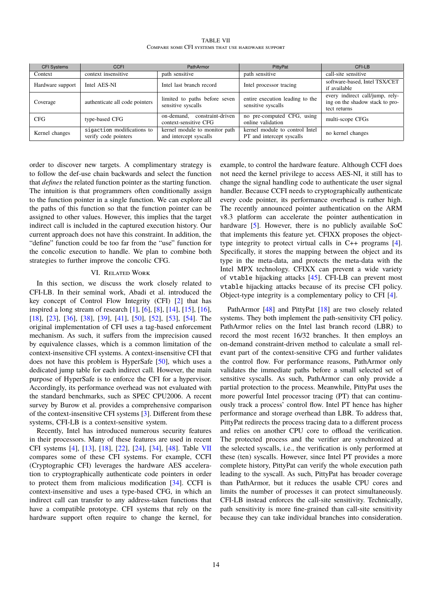| <b>TABLE VII</b>                                   |
|----------------------------------------------------|
| COMPARE SOME CFI SYSTEMS THAT USE HARDWARE SUPPORT |

<span id="page-13-0"></span>

| <b>CFI Systems</b> | <b>CCFI</b>                                        | PathArmor                                                | PittyPat                                                    | CFI-LB                                                                             |
|--------------------|----------------------------------------------------|----------------------------------------------------------|-------------------------------------------------------------|------------------------------------------------------------------------------------|
| Context            | context insensitive                                | path sensitive                                           | path sensitive                                              | call-site sensitive                                                                |
| Hardware support   | Intel AES-NI                                       | Intel last branch record                                 | Intel processor tracing                                     | software-based, Intel TSX/CET<br>if available                                      |
| Coverage           | authenticate all code pointers                     | limited to paths before seven<br>sensitive syscalls      | entire execution leading to the<br>sensitive syscalls       | every indirect call/jump, rely-<br>ing on the shadow stack to pro-<br>tect returns |
| <b>CFG</b>         | type-based CFG                                     | constraint-driven<br>on-demand.<br>context-sensitive CFG | no pre-computed CFG, using<br>online validation             | multi-scope CFGs                                                                   |
| Kernel changes     | sigaction modifications to<br>verify code pointers | kernel module to monitor path<br>and intercept syscalls  | kernel module to control Intel<br>PT and intercept syscalls | no kernel changes                                                                  |

order to discover new targets. A complimentary strategy is to follow the def-use chain backwards and select the function that *defines* the related function pointer as the starting function. The intuition is that programmers often conditionally assign to the function pointer in a single function. We can explore all the paths of this function so that the function pointer can be assigned to other values. However, this implies that the target indirect call is included in the captured execution history. Our current approach does not have this constraint. In addition, the "define" function could be too far from the "use" function for the concolic execution to handle. We plan to combine both strategies to further improve the concolic CFG.

# VI. Related Work

In this section, we discuss the work closely related to CFI-LB. In their seminal work, Abadi et al. introduced the key concept of Control Flow Integrity (CFI) [\[2\]](#page-14-0) that has inspired a long stream of research [\[1\]](#page-14-6), [\[6\]](#page-14-3), [\[8\]](#page-14-14), [\[14\]](#page-14-15), [\[15\]](#page-14-16), [\[16\]](#page-14-4), [\[18\]](#page-14-1), [\[23\]](#page-15-8), [\[36\]](#page-15-6), [\[38\]](#page-15-19), [\[39\]](#page-15-7), [\[41\]](#page-15-26), [\[50\]](#page-15-5), [\[52\]](#page-15-27), [\[53\]](#page-15-2), [\[54\]](#page-15-3). The original implementation of CFI uses a tag-based enforcement mechanism. As such, it suffers from the imprecision caused by equivalence classes, which is a common limitation of the context-insensitive CFI systems. A context-insensitive CFI that does not have this problem is HyperSafe [\[50\]](#page-15-5), which uses a dedicated jump table for each indirect call. However, the main purpose of HyperSafe is to enforce the CFI for a hypervisor. Accordingly, its performance overhead was not evaluated with the standard benchmarks, such as SPEC CPU2006. A recent survey by Burow et al. provides a comprehensive comparison of the context-insensitive CFI systems [\[3\]](#page-14-2). Different from these systems, CFI-LB is a context-sensitive system.

Recently, Intel has introduced numerous security features in their processors. Many of these features are used in recent CFI systems [\[4\]](#page-14-7), [\[13\]](#page-14-17), [\[18\]](#page-14-1), [\[22\]](#page-15-28), [\[24\]](#page-15-29), [\[34\]](#page-15-10), [\[48\]](#page-15-4). Table [VII](#page-13-0) compares some of these CFI systems. For example, CCFI (Cryptographic CFI) leverages the hardware AES acceleration to cryptographically authenticate code pointers in order to protect them from malicious modification [\[34\]](#page-15-10). CCFI is context-insensitive and uses a type-based CFG, in which an indirect call can transfer to any address-taken functions that have a compatible prototype. CFI systems that rely on the hardware support often require to change the kernel, for example, to control the hardware feature. Although CCFI does not need the kernel privilege to access AES-NI, it still has to change the signal handling code to authenticate the user signal handler. Because CCFI needs to cryptographically authenticate every code pointer, its performance overhead is rather high. The recently announced pointer authentication on the ARM v8.3 platform can accelerate the pointer authentication in hardware [\[5\]](#page-14-18). However, there is no publicly available SoC that implements this feature yet. CFIXX proposes the objecttype integrity to protect virtual calls in C++ programs [\[4\]](#page-14-7). Specifically, it stores the mapping between the object and its type in the meta-data, and protects the meta-data with the Intel MPX technology. CFIXX can prevent a wide variety of vtable hijacking attacks [\[45\]](#page-15-30). CFI-LB can prevent most vtable hijacking attacks because of its precise CFI policy. Object-type integrity is a complementary policy to CFI [\[4\]](#page-14-7).

PathArmor [\[48\]](#page-15-4) and PittyPat [\[18\]](#page-14-1) are two closely related systems. They both implement the path-sensitivity CFI policy. PathArmor relies on the Intel last branch record (LBR) to record the most recent 16/32 branches. It then employs an on-demand constraint-driven method to calculate a small relevant part of the context-sensitive CFG and further validates the control flow. For performance reasons, PathArmor only validates the immediate paths before a small selected set of sensitive syscalls. As such, PathArmor can only provide a partial protection to the process. Meanwhile, PittyPat uses the more powerful Intel processor tracing (PT) that can continuously track a process' control flow. Intel PT hence has higher performance and storage overhead than LBR. To address that, PittyPat redirects the process tracing data to a different process and relies on another CPU core to offload the verification. The protected process and the verifier are synchronized at the selected syscalls, i.e., the verification is only performed at these (ten) syscalls. However, since Intel PT provides a more complete history, PittyPat can verify the whole execution path leading to the syscall. As such, PittyPat has broader coverage than PathArmor, but it reduces the usable CPU cores and limits the number of processes it can protect simultaneously. CFI-LB instead enforces the call-site sensitivity. Technically, path sensitivity is more fine-grained than call-site sensitivity because they can take individual branches into consideration.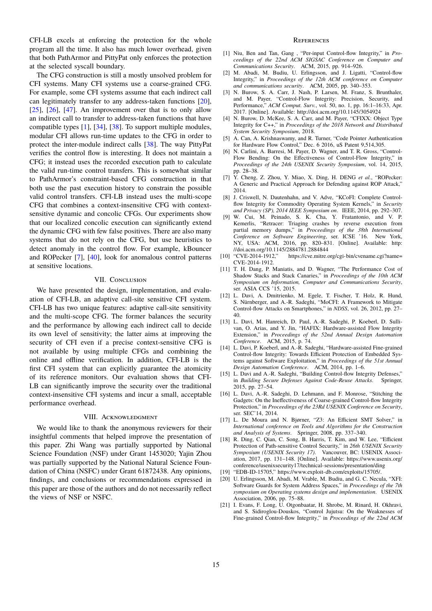CFI-LB excels at enforcing the protection for the whole program all the time. It also has much lower overhead, given that both PathArmor and PittyPat only enforces the protection at the selected syscall boundary.

The CFG construction is still a mostly unsolved problem for CFI systems. Many CFI systems use a coarse-grained CFG. For example, some CFI systems assume that each indirect call can legitimately transfer to any address-taken functions [\[20\]](#page-14-19),  $[25]$ ,  $[26]$ ,  $[47]$ . An improvement over that is to only allow an indirect call to transfer to address-taken functions that have compatible types [\[1\]](#page-14-6), [\[34\]](#page-15-10), [\[38\]](#page-15-19). To support multiple modules, modular CFI allows run-time updates to the CFG in order to protect the inter-module indirect calls [\[38\]](#page-15-19). The way PittyPat verifies the control flow is interesting. It does not maintain a CFG; it instead uses the recorded execution path to calculate the valid run-time control transfers. This is somewhat similar to PathArmor's constraint-based CFG construction in that both use the past execution history to constrain the possible valid control transfers. CFI-LB instead uses the multi-scope CFG that combines a context-insensitive CFG with contextsensitive dynamic and concolic CFGs. Our experiments show that our localized concolic execution can significantly extend the dynamic CFG with few false positives. There are also many systems that do not rely on the CFG, but use heuristics to detect anomaly in the control flow. For example, kBouncer and ROPecker [\[7\]](#page-14-20), [\[40\]](#page-15-33), look for anomalous control patterns at sensitive locations.

# VII. CONCLUSION

We have presented the design, implementation, and evaluation of CFI-LB, an adaptive call-site sensitive CFI system. CFI-LB has two unique features: adaptive call-site sensitivity and the multi-scope CFG. The former balances the security and the performance by allowing each indirect call to decide its own level of sensitivity; the latter aims at improving the security of CFI even if a precise context-sensitive CFG is not available by using multiple CFGs and combining the online and offline verification. In addition, CFI-LB is the first CFI system that can explicitly guarantee the atomicity of its reference monitors. Our evaluation shows that CFI-LB can significantly improve the security over the traditional context-insensitive CFI systems and incur a small, acceptable performance overhead.

## VIII. ACKNOWLEDGMENT

We would like to thank the anonymous reviewers for their insightful comments that helped improve the presentation of this paper. Zhi Wang was partially supported by National Science Foundation (NSF) under Grant 1453020; Yajin Zhou was partially supported by the National Natural Science Foundation of China (NSFC) under Grant 61872438. Any opinions, findings, and conclusions or recommendations expressed in this paper are those of the authors and do not necessarily reflect the views of NSF or NSFC.

#### **REFERENCES**

- <span id="page-14-6"></span>[1] Niu, Ben and Tan, Gang , "Per-input Control-flow Integrity," in *Proceedings of the 22nd ACM SIGSAC Conference on Computer and Communications Security*. ACM, 2015, pp. 914–926.
- <span id="page-14-0"></span>[2] M. Abadi, M. Budiu, U. Erlingsson, and J. Ligatti, "Control-flow Integrity," in *Proceedings of the 12th ACM conference on Computer and communications security*. ACM, 2005, pp. 340–353.
- <span id="page-14-2"></span>[3] N. Burow, S. A. Carr, J. Nash, P. Larsen, M. Franz, S. Brunthaler, and M. Payer, "Control-Flow Integrity: Precision, Security, and Performance," *ACM Comput. Surv.*, vol. 50, no. 1, pp. 16:1–16:33, Apr. 2017. [Online]. Available: <http://doi.acm.org/10.1145/3054924>
- <span id="page-14-7"></span>[4] N. Burow, D. McKee, S. A. Carr, and M. Payer, "CFIXX: Object Type Integrity for C++," in *Proceedings of the 2018 Network and Distributed System Security Symposium*, 2018.
- <span id="page-14-18"></span>[5] A. Can, A. Krishnaswamy, and R. Turner, "Code Pointer Authentication for Hardware Flow Control," Dec. 6 2016, uS Patent 9,514,305.
- <span id="page-14-3"></span>[6] N. Carlini, A. Barresi, M. Payer, D. Wagner, and T. R. Gross, "Control-Flow Bending: On the Effectiveness of Control-Flow Integrity," in *Proceedings of the 24th USENIX Security Symposium*, vol. 14, 2015, pp. 28–38.
- <span id="page-14-20"></span>[7] Y. Cheng, Z. Zhou, Y. Miao, X. Ding, H. DENG *et al.*, "ROPecker: A Generic and Practical Approach for Defending against ROP Attack," 2014.
- <span id="page-14-14"></span>[8] J. Criswell, N. Dautenhahn, and V. Adve, "KCoFI: Complete Controlflow Integrity for Commodity Operating System Kernels," in *Security and Privacy (SP), 2014 IEEE Symposium on*. IEEE, 2014, pp. 292–307.
- <span id="page-14-13"></span>[9] W. Cui, M. Peinado, S. K. Cha, Y. Fratantonio, and V. P. Kemerlis, "Retracer: Triaging crashes by reverse execution from partial memory dumps," in *Proceedings of the 38th International Conference on Software Engineering*, ser. ICSE '16. New York, NY, USA: ACM, 2016, pp. 820–831. [Online]. Available: [http:](http://doi.acm.org/10.1145/2884781.2884844) [//doi.acm.org/10.1145/2884781.2884844](http://doi.acm.org/10.1145/2884781.2884844)
- <span id="page-14-10"></span>[10] "CVE-2014-1912," [https://cve.mitre.org/cgi-bin/cvename.cgi?name=](https://cve.mitre.org/cgi-bin/cvename.cgi?name=CVE-2014-1912) [CVE-2014-1912.](https://cve.mitre.org/cgi-bin/cvename.cgi?name=CVE-2014-1912)
- <span id="page-14-8"></span>[11] T. H. Dang, P. Maniatis, and D. Wagner, "The Performance Cost of Shadow Stacks and Stack Canaries," in *Proceedings of the 10th ACM Symposium on Information, Computer and Communications Security*, ser. ASIA CCS '15, 2015.
- <span id="page-14-12"></span>[12] L. Davi, A. Dmitrienko, M. Egele, T. Fischer, T. Holz, R. Hund, S. Nürnberger, and A.-R. Sadeghi, "MoCFI: A Framework to Mitigate Control-flow Attacks on Smartphones," in *NDSS*, vol. 26, 2012, pp. 27– 40.
- <span id="page-14-17"></span>[13] L. Davi, M. Hanreich, D. Paul, A.-R. Sadeghi, P. Koeberl, D. Sullivan, O. Arias, and Y. Jin, "HAFIX: Hardware-assisted Flow Integrity Extension," in *Proceedings of the 52nd Annual Design Automation Conference*. ACM, 2015, p. 74.
- <span id="page-14-15"></span>[14] L. Davi, P. Koeberl, and A.-R. Sadeghi, "Hardware-assisted Fine-grained Control-flow Integrity: Towards Efficient Protection of Embedded Systems against Software Exploitation," in *Proceedings of the 51st Annual Design Automation Conference*. ACM, 2014, pp. 1–6.
- <span id="page-14-16"></span>[15] L. Davi and A.-R. Sadeghi, "Building Control-flow Integrity Defenses," in *Building Secure Defenses Against Code-Reuse Attacks*. Springer, 2015, pp. 27–54.
- <span id="page-14-4"></span>[16] L. Davi, A.-R. Sadeghi, D. Lehmann, and F. Monrose, "Stitching the Gadgets: On the Ineffectiveness of Coarse-grained Control-flow Integrity Protection," in *Proceedings of the 23Rd USENIX Conference on Security*, ser. SEC'14, 2014.
- <span id="page-14-9"></span>[17] L. De Moura and N. Bjørner, "Z3: An Efficient SMT Solver," in *International conference on Tools and Algorithms for the Construction and Analysis of Systems*. Springer, 2008, pp. 337–340.
- <span id="page-14-1"></span>[18] R. Ding, C. Qian, C. Song, B. Harris, T. Kim, and W. Lee, "Efficient Protection of Path-sensitive Control Security," in *26th USENIX Security Symposium (USENIX Security 17)*. Vancouver, BC: USENIX Association, 2017, pp. 131–148. [Online]. Available: [https://www.usenix.org/](https://www.usenix.org/conference/usenixsecurity17/technical-sessions/presentation/ding) [conference/usenixsecurity17/technical-sessions/presentation/ding](https://www.usenix.org/conference/usenixsecurity17/technical-sessions/presentation/ding)
- <span id="page-14-11"></span>[19] "EDB-ID-15705," [https://www.exploit-db.com/exploits/15705/.](https://www.exploit-db.com/exploits/15705/)
- <span id="page-14-19"></span>[20] U. Erlingsson, M. Abadi, M. Vrable, M. Budiu, and G. C. Necula, "XFI: Software Guards for System Address Spaces," in *Proceedings of the 7th symposium on Operating systems design and implementation*. USENIX Association, 2006, pp. 75–88.
- <span id="page-14-5"></span>[21] I. Evans, F. Long, U. Otgonbaatar, H. Shrobe, M. Rinard, H. Okhravi, and S. Sidiroglou-Douskos, "Control Jujutsu: On the Weaknesses of Fine-grained Control-flow Integrity," in *Proceedings of the 22nd ACM*